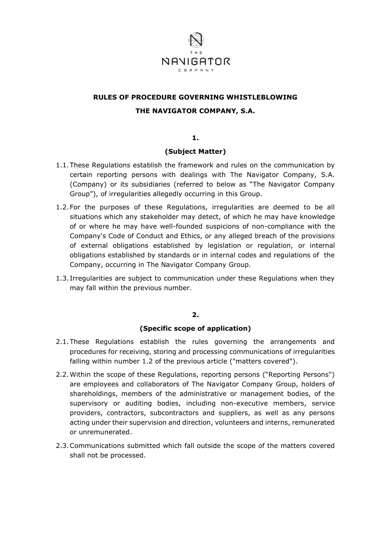

# **RULES OF PROCEDURE GOVERNING WHISTLEBLOWING THE NAVIGATOR COMPANY, S.A.**

**1.**

# **(Subject Matter)**

- 1.1.These Regulations establish the framework and rules on the communication by certain reporting persons with dealings with The Navigator Company, S.A. (Company) or its subsidiaries (referred to below as "The Navigator Company Group"), of irregularities allegedly occurring in this Group.
- 1.2.For the purposes of these Regulations, irregularities are deemed to be all situations which any stakeholder may detect, of which he may have knowledge of or where he may have well-founded suspicions of non-compliance with the Company's Code of Conduct and Ethics, or any alleged breach of the provisions of external obligations established by legislation or regulation, or internal obligations established by standards or in internal codes and regulations of the Company, occurring in The Navigator Company Group.
- 1.3. Irregularities are subject to communication under these Regulations when they may fall within the previous number.

## **2.**

## **(Specific scope of application)**

- 2.1.These Regulations establish the rules governing the arrangements and procedures for receiving, storing and processing communications of irregularities falling within number 1.2 of the previous article ("matters covered").
- 2.2.Within the scope of these Regulations, reporting persons ("Reporting Persons") are employees and collaborators of The Navigator Company Group, holders of shareholdings, members of the administrative or management bodies, of the supervisory or auditing bodies, including non-executive members, service providers, contractors, subcontractors and suppliers, as well as any persons acting under their supervision and direction, volunteers and interns, remunerated or unremunerated.
- 2.3.Communications submitted which fall outside the scope of the matters covered shall not be processed.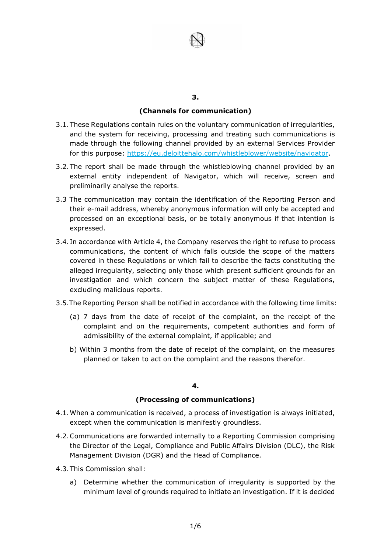

#### **3.**

## **(Channels for communication)**

- 3.1.These Regulations contain rules on the voluntary communication of irregularities, and the system for receiving, processing and treating such communications is made through the following channel provided by an external Services Provider for this purpose: https://eu.deloittehalo.com/whistleblower/website/navigator.
- 3.2.The report shall be made through the whistleblowing channel provided by an external entity independent of Navigator, which will receive, screen and preliminarily analyse the reports.
- 3.3 The communication may contain the identification of the Reporting Person and their e-mail address, whereby anonymous information will only be accepted and processed on an exceptional basis, or be totally anonymous if that intention is expressed.
- 3.4. In accordance with Article 4, the Company reserves the right to refuse to process communications, the content of which falls outside the scope of the matters covered in these Regulations or which fail to describe the facts constituting the alleged irregularity, selecting only those which present sufficient grounds for an investigation and which concern the subject matter of these Regulations, excluding malicious reports.
- 3.5.The Reporting Person shall be notified in accordance with the following time limits:
	- (a) 7 days from the date of receipt of the complaint, on the receipt of the complaint and on the requirements, competent authorities and form of admissibility of the external complaint, if applicable; and
	- b) Within 3 months from the date of receipt of the complaint, on the measures planned or taken to act on the complaint and the reasons therefor.

## **4.**

## **(Processing of communications)**

- 4.1.When a communication is received, a process of investigation is always initiated, except when the communication is manifestly groundless.
- 4.2.Communications are forwarded internally to a Reporting Commission comprising the Director of the Legal, Compliance and Public Affairs Division (DLC), the Risk Management Division (DGR) and the Head of Compliance.
- 4.3.This Commission shall:
	- a) Determine whether the communication of irregularity is supported by the minimum level of grounds required to initiate an investigation. If it is decided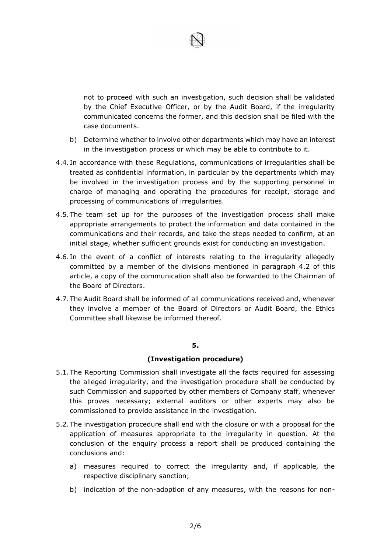

not to proceed with such an investigation, such decision shall be validated by the Chief Executive Officer, or by the Audit Board, if the irregularity communicated concerns the former, and this decision shall be filed with the case documents.

- b) Determine whether to involve other departments which may have an interest in the investigation process or which may be able to contribute to it.
- 4.4. In accordance with these Regulations, communications of irregularities shall be treated as confidential information, in particular by the departments which may be involved in the investigation process and by the supporting personnel in charge of managing and operating the procedures for receipt, storage and processing of communications of irregularities.
- 4.5.The team set up for the purposes of the investigation process shall make appropriate arrangements to protect the information and data contained in the communications and their records, and take the steps needed to confirm, at an initial stage, whether sufficient grounds exist for conducting an investigation.
- 4.6. In the event of a conflict of interests relating to the irregularity allegedly committed by a member of the divisions mentioned in paragraph 4.2 of this article, a copy of the communication shall also be forwarded to the Chairman of the Board of Directors.
- 4.7.The Audit Board shall be informed of all communications received and, whenever they involve a member of the Board of Directors or Audit Board, the Ethics Committee shall likewise be informed thereof.

## **5.**

## **(Investigation procedure)**

- 5.1.The Reporting Commission shall investigate all the facts required for assessing the alleged irregularity, and the investigation procedure shall be conducted by such Commission and supported by other members of Company staff, whenever this proves necessary; external auditors or other experts may also be commissioned to provide assistance in the investigation.
- 5.2.The investigation procedure shall end with the closure or with a proposal for the application of measures appropriate to the irregularity in question. At the conclusion of the enquiry process a report shall be produced containing the conclusions and:
	- a) measures required to correct the irregularity and, if applicable, the respective disciplinary sanction;
	- b) indication of the non-adoption of any measures, with the reasons for non-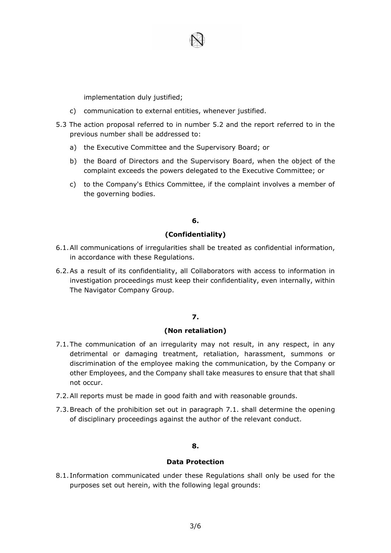

implementation duly justified;

- c) communication to external entities, whenever justified.
- 5.3 The action proposal referred to in number 5.2 and the report referred to in the previous number shall be addressed to:
	- a) the Executive Committee and the Supervisory Board; or
	- b) the Board of Directors and the Supervisory Board, when the object of the complaint exceeds the powers delegated to the Executive Committee; or
	- c) to the Company's Ethics Committee, if the complaint involves a member of the governing bodies.

# **6.**

## **(Confidentiality)**

- 6.1.All communications of irregularities shall be treated as confidential information, in accordance with these Regulations.
- 6.2.As a result of its confidentiality, all Collaborators with access to information in investigation proceedings must keep their confidentiality, even internally, within The Navigator Company Group.

# **7.**

# **(Non retaliation)**

- 7.1.The communication of an irregularity may not result, in any respect, in any detrimental or damaging treatment, retaliation, harassment, summons or discrimination of the employee making the communication, by the Company or other Employees, and the Company shall take measures to ensure that that shall not occur.
- 7.2.All reports must be made in good faith and with reasonable grounds.
- 7.3.Breach of the prohibition set out in paragraph 7.1. shall determine the opening of disciplinary proceedings against the author of the relevant conduct.

## **8.**

#### **Data Protection**

8.1. Information communicated under these Regulations shall only be used for the purposes set out herein, with the following legal grounds: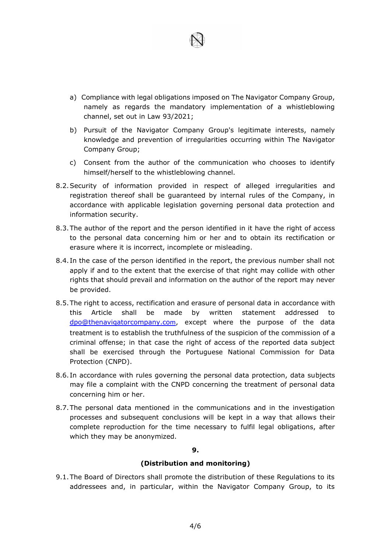- a) Compliance with legal obligations imposed on The Navigator Company Group, namely as regards the mandatory implementation of a whistleblowing channel, set out in Law 93/2021;
- b) Pursuit of the Navigator Company Group's legitimate interests, namely knowledge and prevention of irregularities occurring within The Navigator Company Group;
- c) Consent from the author of the communication who chooses to identify himself/herself to the whistleblowing channel.
- 8.2.Security of information provided in respect of alleged irregularities and registration thereof shall be guaranteed by internal rules of the Company, in accordance with applicable legislation governing personal data protection and information security.
- 8.3.The author of the report and the person identified in it have the right of access to the personal data concerning him or her and to obtain its rectification or erasure where it is incorrect, incomplete or misleading.
- 8.4. In the case of the person identified in the report, the previous number shall not apply if and to the extent that the exercise of that right may collide with other rights that should prevail and information on the author of the report may never be provided.
- 8.5.The right to access, rectification and erasure of personal data in accordance with this Article shall be made by written statement addressed to [dpo@thenavigatorcompany.co](mailto:dpo@thenavigatorcompany.co)m, except where the purpose of the data treatment is to establish the truthfulness of the suspicion of the commission of a criminal offense; in that case the right of access of the reported data subject shall be exercised through the Portuguese National Commission for Data Protection (CNPD).
- 8.6. In accordance with rules governing the personal data protection, data subjects may file a complaint with the CNPD concerning the treatment of personal data concerning him or her.
- 8.7.The personal data mentioned in the communications and in the investigation processes and subsequent conclusions will be kept in a way that allows their complete reproduction for the time necessary to fulfil legal obligations, after which they may be anonymized.

#### **9.**

## **(Distribution and monitoring)**

9.1.The Board of Directors shall promote the distribution of these Regulations to its addressees and, in particular, within the Navigator Company Group, to its